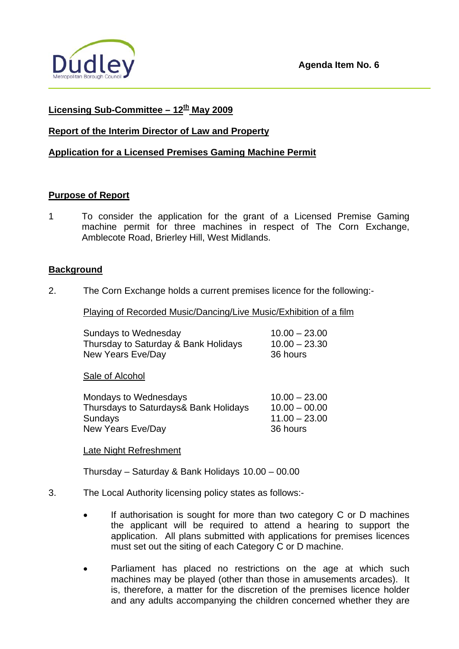

## **Licensing Sub-Committee – 12th May 2009**

## **Report of the Interim Director of Law and Property**

## **Application for a Licensed Premises Gaming Machine Permit**

### **Purpose of Report**

1 To consider the application for the grant of a Licensed Premise Gaming machine permit for three machines in respect of The Corn Exchange, Amblecote Road, Brierley Hill, West Midlands.

### **Background**

2. The Corn Exchange holds a current premises licence for the following:-

Playing of Recorded Music/Dancing/Live Music/Exhibition of a film

| Sundays to Wednesday                 | $10.00 - 23.00$ |
|--------------------------------------|-----------------|
| Thursday to Saturday & Bank Holidays | $10.00 - 23.30$ |
| New Years Eve/Day                    | 36 hours        |

Sale of Alcohol

| $10.00 - 23.00$ |
|-----------------|
| $10.00 - 00.00$ |
| $11.00 - 23.00$ |
|                 |
|                 |

#### Late Night Refreshment

Thursday – Saturday & Bank Holidays 10.00 – 00.00

- 3. The Local Authority licensing policy states as follows:-
	- If authorisation is sought for more than two category C or D machines the applicant will be required to attend a hearing to support the application. All plans submitted with applications for premises licences must set out the siting of each Category C or D machine.
	- Parliament has placed no restrictions on the age at which such machines may be played (other than those in amusements arcades). It is, therefore, a matter for the discretion of the premises licence holder and any adults accompanying the children concerned whether they are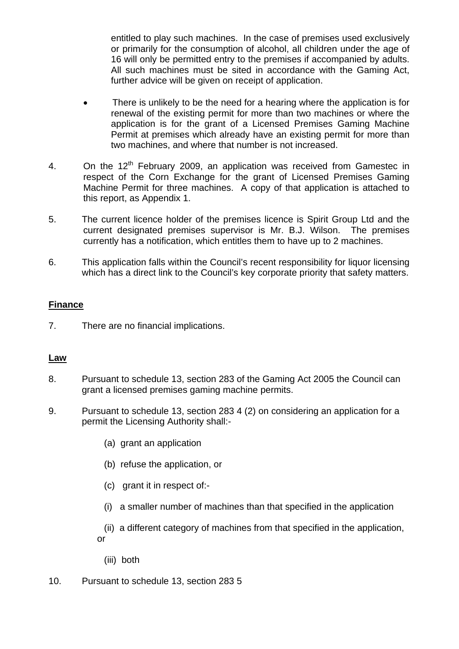entitled to play such machines. In the case of premises used exclusively or primarily for the consumption of alcohol, all children under the age of 16 will only be permitted entry to the premises if accompanied by adults. All such machines must be sited in accordance with the Gaming Act, further advice will be given on receipt of application.

- There is unlikely to be the need for a hearing where the application is for renewal of the existing permit for more than two machines or where the application is for the grant of a Licensed Premises Gaming Machine Permit at premises which already have an existing permit for more than two machines, and where that number is not increased.
- 4. On the 12<sup>th</sup> February 2009, an application was received from Gamestec in respect of the Corn Exchange for the grant of Licensed Premises Gaming Machine Permit for three machines. A copy of that application is attached to this report, as Appendix 1.
- 5. The current licence holder of the premises licence is Spirit Group Ltd and the current designated premises supervisor is Mr. B.J. Wilson. The premises currently has a notification, which entitles them to have up to 2 machines.
- 6. This application falls within the Council's recent responsibility for liquor licensing which has a direct link to the Council's key corporate priority that safety matters.

## **Finance**

7. There are no financial implications.

### **Law**

- 8. Pursuant to schedule 13, section 283 of the Gaming Act 2005 the Council can grant a licensed premises gaming machine permits.
- 9. Pursuant to schedule 13, section 283 4 (2) on considering an application for a permit the Licensing Authority shall:-
	- (a) grant an application
	- (b) refuse the application, or
	- (c) grant it in respect of:-
	- (i) a smaller number of machines than that specified in the application
	- (ii) a different category of machines from that specified in the application, or
		- (iii) both
- 10. Pursuant to schedule 13, section 283 5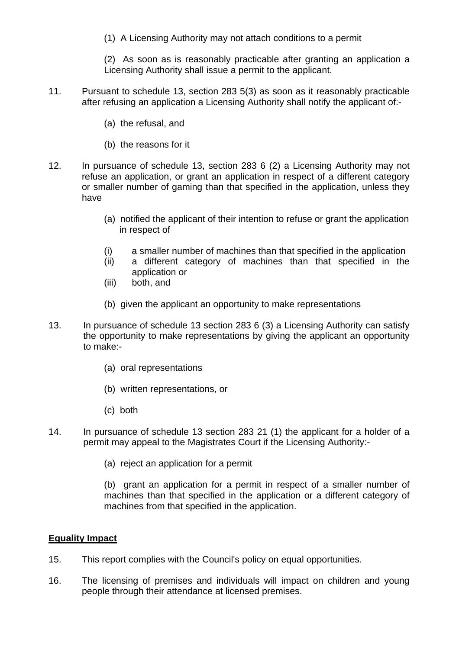(1) A Licensing Authority may not attach conditions to a permit

(2) As soon as is reasonably practicable after granting an application a Licensing Authority shall issue a permit to the applicant.

- 11. Pursuant to schedule 13, section 283 5(3) as soon as it reasonably practicable after refusing an application a Licensing Authority shall notify the applicant of:-
	- (a) the refusal, and
	- (b) the reasons for it
- 12. In pursuance of schedule 13, section 283 6 (2) a Licensing Authority may not refuse an application, or grant an application in respect of a different category or smaller number of gaming than that specified in the application, unless they have
	- (a) notified the applicant of their intention to refuse or grant the application in respect of
	- (i) a smaller number of machines than that specified in the application
	- (ii) a different category of machines than that specified in the application or
	- (iii) both, and
	- (b) given the applicant an opportunity to make representations
- 13. In pursuance of schedule 13 section 283 6 (3) a Licensing Authority can satisfy the opportunity to make representations by giving the applicant an opportunity to make:-
	- (a) oral representations
	- (b) written representations, or
	- (c) both
- 14. In pursuance of schedule 13 section 283 21 (1) the applicant for a holder of a permit may appeal to the Magistrates Court if the Licensing Authority:-
	- (a) reject an application for a permit

(b) grant an application for a permit in respect of a smaller number of machines than that specified in the application or a different category of machines from that specified in the application.

### **Equality Impact**

- 15. This report complies with the Council's policy on equal opportunities.
- 16. The licensing of premises and individuals will impact on children and young people through their attendance at licensed premises.